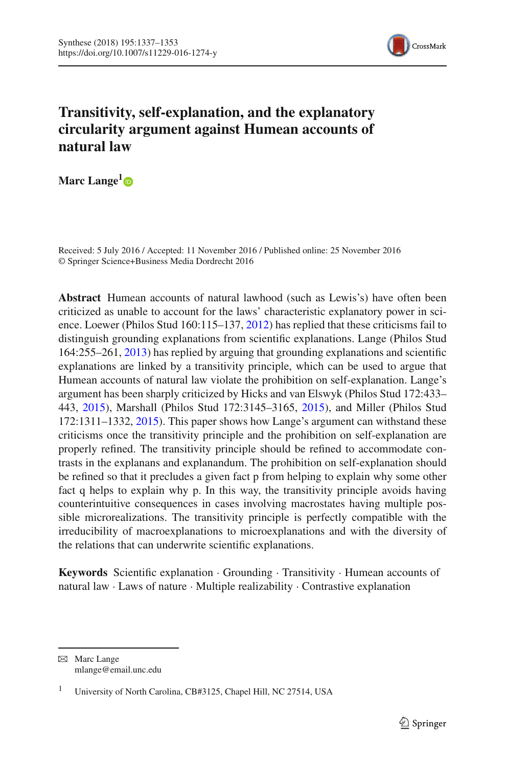

# **Transitivity, self-explanation, and the explanatory circularity argument against Humean accounts of natural law**

**Marc Lange<sup>[1](http://orcid.org/0000-0002-0704-7376)</sup><sup>D</sup>** 

Received: 5 July 2016 / Accepted: 11 November 2016 / Published online: 25 November 2016 © Springer Science+Business Media Dordrecht 2016

**Abstract** Humean accounts of natural lawhood (such as Lewis's) have often been criticized as unable to account for the laws' characteristic explanatory power in science. Loewer (Philos Stud 160:115–137, [2012\)](#page-16-0) has replied that these criticisms fail to distinguish grounding explanations from scientific explanations. Lange (Philos Stud 164:255–261, [2013\)](#page-15-0) has replied by arguing that grounding explanations and scientific explanations are linked by a transitivity principle, which can be used to argue that Humean accounts of natural law violate the prohibition on self-explanation. Lange's argument has been sharply criticized by Hicks and van Elswyk (Philos Stud 172:433– 443, [2015\)](#page-15-1), Marshall (Philos Stud 172:3145–3165, [2015\)](#page-16-1), and Miller (Philos Stud 172:1311–1332, [2015\)](#page-16-2). This paper shows how Lange's argument can withstand these criticisms once the transitivity principle and the prohibition on self-explanation are properly refined. The transitivity principle should be refined to accommodate contrasts in the explanans and explanandum. The prohibition on self-explanation should be refined so that it precludes a given fact p from helping to explain why some other fact q helps to explain why p. In this way, the transitivity principle avoids having counterintuitive consequences in cases involving macrostates having multiple possible microrealizations. The transitivity principle is perfectly compatible with the irreducibility of macroexplanations to microexplanations and with the diversity of the relations that can underwrite scientific explanations.

**Keywords** Scientific explanation · Grounding · Transitivity · Humean accounts of natural law · Laws of nature · Multiple realizability · Contrastive explanation

 $\boxtimes$  Marc Lange mlange@email.unc.edu

<sup>1</sup> University of North Carolina, CB#3125, Chapel Hill, NC 27514, USA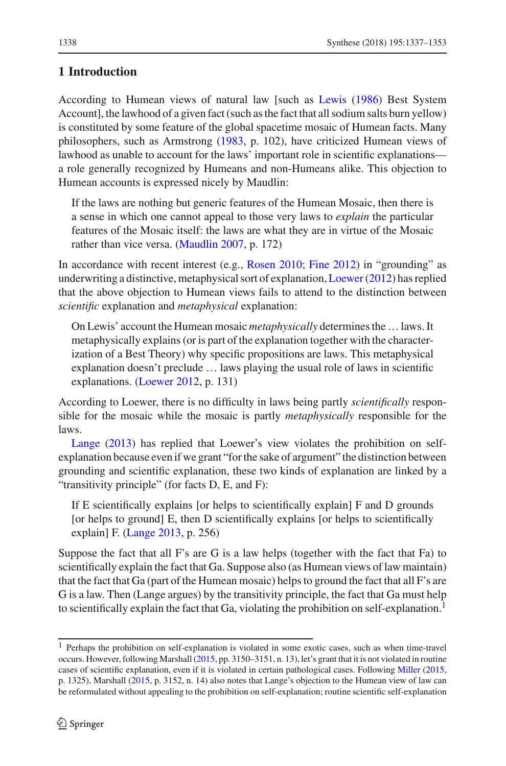## **1 Introduction**

According to Humean views of natural law [such as [Lewis](#page-15-2) [\(1986\)](#page-15-2) Best System Account], the lawhood of a given fact (such as the fact that all sodium salts burn yellow) is constituted by some feature of the global spacetime mosaic of Humean facts. Many philosophers, such as Armstrong [\(1983,](#page-15-3) p. 102), have criticized Humean views of lawhood as unable to account for the laws' important role in scientific explanations a role generally recognized by Humeans and non-Humeans alike. This objection to Humean accounts is expressed nicely by Maudlin:

If the laws are nothing but generic features of the Humean Mosaic, then there is a sense in which one cannot appeal to those very laws to *explain* the particular features of the Mosaic itself: the laws are what they are in virtue of the Mosaic rather than vice versa. [\(Maudlin 2007,](#page-16-3) p. 172)

In accordance with recent interest (e.g., [Rosen 2010;](#page-16-4) [Fine 2012](#page-15-4)) in "grounding" as underwriting a distinctive, metaphysical sort of explanation, [Loewer\(2012\)](#page-16-0) has replied that the above objection to Humean views fails to attend to the distinction between *scientific* explanation and *metaphysical* explanation:

On Lewis' account the Humean mosaic *metaphysically* determines the… laws. It metaphysically explains (or is part of the explanation together with the characterization of a Best Theory) why specific propositions are laws. This metaphysical explanation doesn't preclude … laws playing the usual role of laws in scientific explanations. [\(Loewer 2012](#page-16-0), p. 131)

According to Loewer, there is no difficulty in laws being partly *scientifically* responsible for the mosaic while the mosaic is partly *metaphysically* responsible for the [laws.](#page-15-0)

Lange [\(2013\)](#page-15-0) has replied that Loewer's view violates the prohibition on selfexplanation because even if we grant "for the sake of argument" the distinction between grounding and scientific explanation, these two kinds of explanation are linked by a "transitivity principle" (for facts D, E, and F):

If E scientifically explains [or helps to scientifically explain] F and D grounds [or helps to ground] E, then D scientifically explains [or helps to scientifically explain] F. [\(Lange 2013](#page-15-0), p. 256)

Suppose the fact that all  $F$ 's are G is a law helps (together with the fact that  $Fa$ ) to scientifically explain the fact that Ga. Suppose also (as Humean views of law maintain) that the fact that Ga (part of the Humean mosaic) helps to ground the fact that all F's are G is a law. Then (Lange argues) by the transitivity principle, the fact that Ga must help to scientifically explain the fact that Ga, violating the prohibition on self-explanation.<sup>1</sup>

<span id="page-1-0"></span><sup>1</sup> Perhaps the prohibition on self-explanation is violated in some exotic cases, such as when time-travel occurs. However, following Marshall [\(2015,](#page-16-1) pp. 3150–3151, n. 13), let's grant that it is not violated in routine cases of scientific explanation, even if it is violated in certain pathological cases. Following [Miller](#page-16-2) [\(2015](#page-16-2), p. 1325), Marshall [\(2015](#page-16-1), p. 3152, n. 14) also notes that Lange's objection to the Humean view of law can be reformulated without appealing to the prohibition on self-explanation; routine scientific self-explanation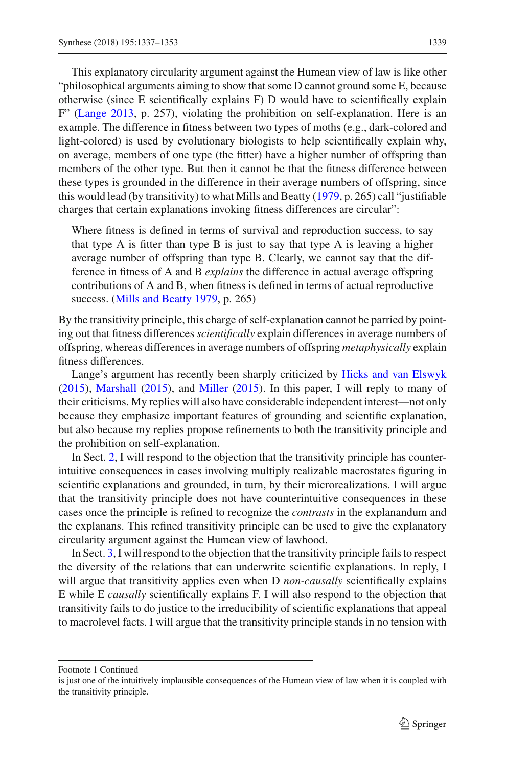This explanatory circularity argument against the Humean view of law is like other "philosophical arguments aiming to show that some D cannot ground some E, because otherwise (since E scientifically explains F) D would have to scientifically explain F" [\(Lange 2013](#page-15-0), p. 257), violating the prohibition on self-explanation. Here is an example. The difference in fitness between two types of moths (e.g., dark-colored and light-colored) is used by evolutionary biologists to help scientifically explain why, on average, members of one type (the fitter) have a higher number of offspring than members of the other type. But then it cannot be that the fitness difference between these types is grounded in the difference in their average numbers of offspring, since this would lead (by transitivity) to what Mills and Beatty [\(1979,](#page-16-5) p. 265) call "justifiable charges that certain explanations invoking fitness differences are circular":

Where fitness is defined in terms of survival and reproduction success, to say that type A is fitter than type B is just to say that type A is leaving a higher average number of offspring than type B. Clearly, we cannot say that the difference in fitness of A and B *explains* the difference in actual average offspring contributions of A and B, when fitness is defined in terms of actual reproductive success. [\(Mills and Beatty 1979](#page-16-5), p. 265)

By the transitivity principle, this charge of self-explanation cannot be parried by pointing out that fitness differences *scientifically* explain differences in average numbers of offspring, whereas differences in average numbers of offspring *metaphysically* explain fitness differences.

Lange's argument has recently been sharply criticized by [Hicks and van Elswyk](#page-15-1) [\(2015\)](#page-15-1), [Marshall](#page-16-1) [\(2015\)](#page-16-1), and [Miller](#page-16-2) [\(2015](#page-16-2)). In this paper, I will reply to many of their criticisms. My replies will also have considerable independent interest—not only because they emphasize important features of grounding and scientific explanation, but also because my replies propose refinements to both the transitivity principle and the prohibition on self-explanation.

In Sect. [2,](#page-3-0) I will respond to the objection that the transitivity principle has counterintuitive consequences in cases involving multiply realizable macrostates figuring in scientific explanations and grounded, in turn, by their microrealizations. I will argue that the transitivity principle does not have counterintuitive consequences in these cases once the principle is refined to recognize the *contrasts* in the explanandum and the explanans. This refined transitivity principle can be used to give the explanatory circularity argument against the Humean view of lawhood.

In Sect. [3,](#page-7-0) I will respond to the objection that the transitivity principle fails to respect the diversity of the relations that can underwrite scientific explanations. In reply, I will argue that transitivity applies even when D *non-causally* scientifically explains E while E *causally* scientifically explains F. I will also respond to the objection that transitivity fails to do justice to the irreducibility of scientific explanations that appeal to macrolevel facts. I will argue that the transitivity principle stands in no tension with

Footnote 1 Continued

is just one of the intuitively implausible consequences of the Humean view of law when it is coupled with the transitivity principle.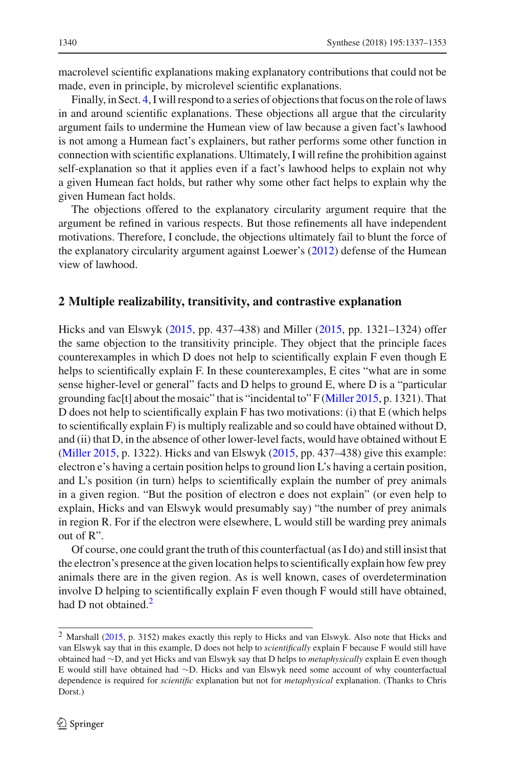macrolevel scientific explanations making explanatory contributions that could not be made, even in principle, by microlevel scientific explanations.

Finally, in Sect. [4,](#page-10-0) I will respond to a series of objections that focus on the role of laws in and around scientific explanations. These objections all argue that the circularity argument fails to undermine the Humean view of law because a given fact's lawhood is not among a Humean fact's explainers, but rather performs some other function in connection with scientific explanations. Ultimately, I will refine the prohibition against self-explanation so that it applies even if a fact's lawhood helps to explain not why a given Humean fact holds, but rather why some other fact helps to explain why the given Humean fact holds.

The objections offered to the explanatory circularity argument require that the argument be refined in various respects. But those refinements all have independent motivations. Therefore, I conclude, the objections ultimately fail to blunt the force of the explanatory circularity argument against Loewer's [\(2012\)](#page-16-0) defense of the Humean view of lawhood.

#### <span id="page-3-0"></span>**2 Multiple realizability, transitivity, and contrastive explanation**

Hicks and van Elswyk [\(2015](#page-15-1), pp. 437–438) and Miller [\(2015](#page-16-2), pp. 1321–1324) offer the same objection to the transitivity principle. They object that the principle faces counterexamples in which D does not help to scientifically explain F even though E helps to scientifically explain F. In these counterexamples, E cites "what are in some sense higher-level or general" facts and D helps to ground E, where D is a "particular grounding fac[t] about the mosaic" that is "incidental to" F [\(Miller 2015](#page-16-2), p. 1321). That D does not help to scientifically explain F has two motivations: (i) that E (which helps to scientifically explain F) is multiply realizable and so could have obtained without D, and (ii) that D, in the absence of other lower-level facts, would have obtained without E [\(Miller 2015](#page-16-2), p. 1322). Hicks and van Elswyk [\(2015,](#page-15-1) pp. 437–438) give this example: electron e's having a certain position helps to ground lion L's having a certain position, and L's position (in turn) helps to scientifically explain the number of prey animals in a given region. "But the position of electron e does not explain" (or even help to explain, Hicks and van Elswyk would presumably say) "the number of prey animals in region R. For if the electron were elsewhere, L would still be warding prey animals out of R".

Of course, one could grant the truth of this counterfactual (as I do) and still insist that the electron's presence at the given location helps to scientifically explain how few prey animals there are in the given region. As is well known, cases of overdetermination involve D helping to scientifically explain F even though F would still have obtained, had D not obtained. $<sup>2</sup>$ </sup>

<span id="page-3-1"></span><sup>2</sup> Marshall [\(2015](#page-16-1), p. 3152) makes exactly this reply to Hicks and van Elswyk. Also note that Hicks and van Elswyk say that in this example, D does not help to *scientifically* explain F because F would still have obtained had ∼D, and yet Hicks and van Elswyk say that D helps to *metaphysically* explain E even though E would still have obtained had ∼D. Hicks and van Elswyk need some account of why counterfactual dependence is required for *scientific* explanation but not for *metaphysical* explanation. (Thanks to Chris Dorst.)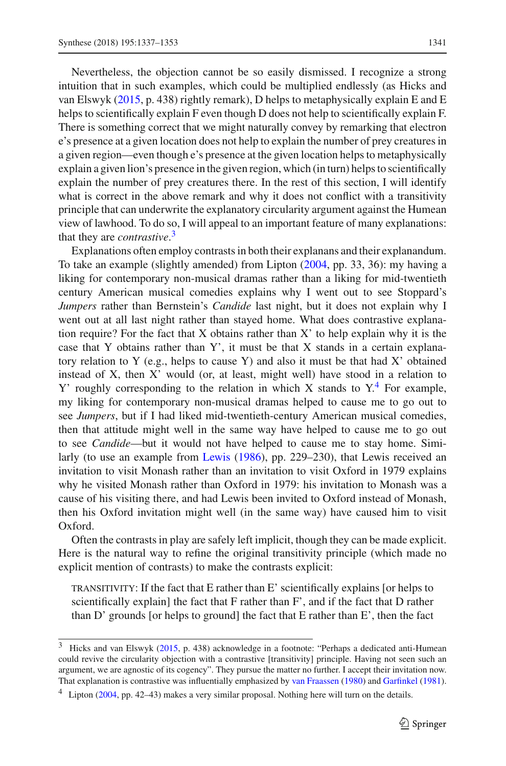Nevertheless, the objection cannot be so easily dismissed. I recognize a strong intuition that in such examples, which could be multiplied endlessly (as Hicks and van Elswyk [\(2015](#page-15-1), p. 438) rightly remark), D helps to metaphysically explain E and E helps to scientifically explain F even though D does not help to scientifically explain F. There is something correct that we might naturally convey by remarking that electron e's presence at a given location does not help to explain the number of prey creatures in a given region—even though e's presence at the given location helps to metaphysically explain a given lion's presence in the given region, which (in turn) helps to scientifically explain the number of prey creatures there. In the rest of this section, I will identify what is correct in the above remark and why it does not conflict with a transitivity principle that can underwrite the explanatory circularity argument against the Humean view of lawhood. To do so, I will appeal to an important feature of many explanations: that they are *contrastive*. [3](#page-4-0)

Explanations often employ contrasts in both their explanans and their explanandum. To take an example (slightly amended) from Lipton [\(2004](#page-15-5), pp. 33, 36): my having a liking for contemporary non-musical dramas rather than a liking for mid-twentieth century American musical comedies explains why I went out to see Stoppard's *Jumpers* rather than Bernstein's *Candide* last night, but it does not explain why I went out at all last night rather than stayed home. What does contrastive explanation require? For the fact that  $X$  obtains rather than  $X'$  to help explain why it is the case that Y obtains rather than Y', it must be that X stands in a certain explanatory relation to Y (e.g., helps to cause Y) and also it must be that had X' obtained instead of X, then X' would (or, at least, might well) have stood in a relation to Y' roughly corresponding to the relation in which X stands to  $Y^4$  $Y^4$ . For example, my liking for contemporary non-musical dramas helped to cause me to go out to see *Jumpers*, but if I had liked mid-twentieth-century American musical comedies, then that attitude might well in the same way have helped to cause me to go out to see *Candide*—but it would not have helped to cause me to stay home. Similarly (to use an example from [Lewis](#page-15-2) [\(1986\)](#page-15-2), pp. 229–230), that Lewis received an invitation to visit Monash rather than an invitation to visit Oxford in 1979 explains why he visited Monash rather than Oxford in 1979: his invitation to Monash was a cause of his visiting there, and had Lewis been invited to Oxford instead of Monash, then his Oxford invitation might well (in the same way) have caused him to visit Oxford.

Often the contrasts in play are safely left implicit, though they can be made explicit. Here is the natural way to refine the original transitivity principle (which made no explicit mention of contrasts) to make the contrasts explicit:

transitivity: If the fact that E rather than E' scientifically explains [or helps to scientifically explain] the fact that F rather than F', and if the fact that D rather than D' grounds [or helps to ground] the fact that E rather than E', then the fact

<span id="page-4-0"></span><sup>&</sup>lt;sup>3</sup> Hicks and van Elswyk [\(2015,](#page-15-1) p. 438) acknowledge in a footnote: "Perhaps a dedicated anti-Humean could revive the circularity objection with a contrastive [transitivity] principle. Having not seen such an argument, we are agnostic of its cogency". They pursue the matter no further. I accept their invitation now. That explanation is contrastive was influentially emphasized by [van Fraassen](#page-16-6) [\(1980](#page-16-6)) and [Garfinkel](#page-15-6) [\(1981](#page-15-6)).

<span id="page-4-1"></span><sup>&</sup>lt;sup>4</sup> Lipton [\(2004,](#page-15-5) pp. 42–43) makes a very similar proposal. Nothing here will turn on the details.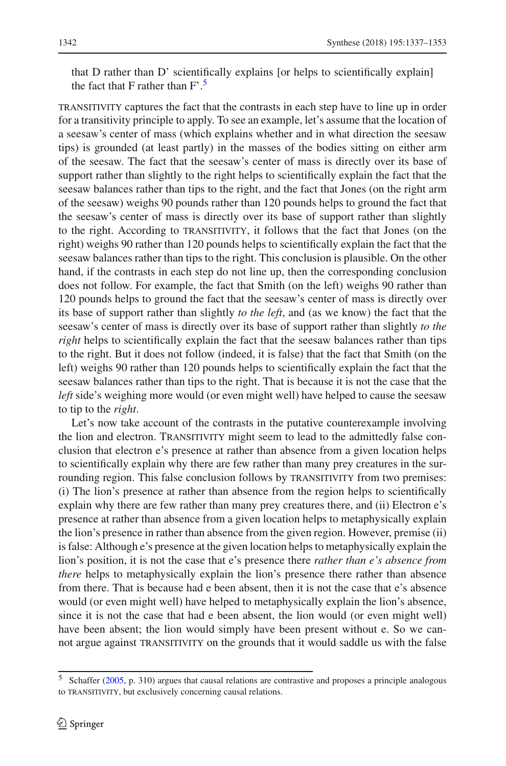that D rather than D' scientifically explains [or helps to scientifically explain] the fact that F rather than  $F<sup>5</sup>$ .

transitivity captures the fact that the contrasts in each step have to line up in order for a transitivity principle to apply. To see an example, let's assume that the location of a seesaw's center of mass (which explains whether and in what direction the seesaw tips) is grounded (at least partly) in the masses of the bodies sitting on either arm of the seesaw. The fact that the seesaw's center of mass is directly over its base of support rather than slightly to the right helps to scientifically explain the fact that the seesaw balances rather than tips to the right, and the fact that Jones (on the right arm of the seesaw) weighs 90 pounds rather than 120 pounds helps to ground the fact that the seesaw's center of mass is directly over its base of support rather than slightly to the right. According to TRANSITIVITY, it follows that the fact that Jones (on the right) weighs 90 rather than 120 pounds helps to scientifically explain the fact that the seesaw balances rather than tips to the right. This conclusion is plausible. On the other hand, if the contrasts in each step do not line up, then the corresponding conclusion does not follow. For example, the fact that Smith (on the left) weighs 90 rather than 120 pounds helps to ground the fact that the seesaw's center of mass is directly over its base of support rather than slightly *to the left*, and (as we know) the fact that the seesaw's center of mass is directly over its base of support rather than slightly *to the right* helps to scientifically explain the fact that the seesaw balances rather than tips to the right. But it does not follow (indeed, it is false) that the fact that Smith (on the left) weighs 90 rather than 120 pounds helps to scientifically explain the fact that the seesaw balances rather than tips to the right. That is because it is not the case that the *left* side's weighing more would (or even might well) have helped to cause the seesaw to tip to the *right*.

Let's now take account of the contrasts in the putative counterexample involving the lion and electron. Transitivity might seem to lead to the admittedly false conclusion that electron e's presence at rather than absence from a given location helps to scientifically explain why there are few rather than many prey creatures in the surrounding region. This false conclusion follows by TRANSITIVITY from two premises: (i) The lion's presence at rather than absence from the region helps to scientifically explain why there are few rather than many prey creatures there, and (ii) Electron e's presence at rather than absence from a given location helps to metaphysically explain the lion's presence in rather than absence from the given region. However, premise (ii) is false: Although e's presence at the given location helps to metaphysically explain the lion's position, it is not the case that e's presence there *rather than e's absence from there* helps to metaphysically explain the lion's presence there rather than absence from there. That is because had e been absent, then it is not the case that e's absence would (or even might well) have helped to metaphysically explain the lion's absence, since it is not the case that had e been absent, the lion would (or even might well) have been absent; the lion would simply have been present without e. So we cannot argue against transitivity on the grounds that it would saddle us with the false

<span id="page-5-0"></span><sup>&</sup>lt;sup>5</sup> Schaffer [\(2005,](#page-16-7) p. 310) argues that causal relations are contrastive and proposes a principle analogous to TRANSITIVITY, but exclusively concerning causal relations.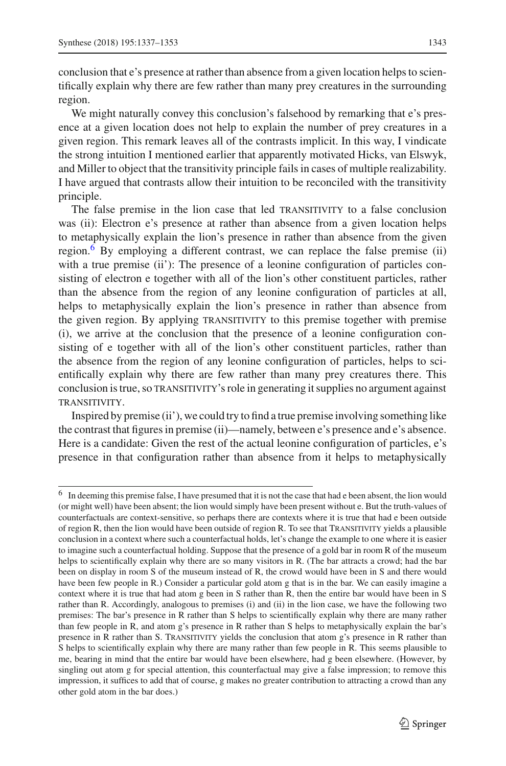conclusion that e's presence at rather than absence from a given location helps to scientifically explain why there are few rather than many prey creatures in the surrounding region.

We might naturally convey this conclusion's falsehood by remarking that e's presence at a given location does not help to explain the number of prey creatures in a given region. This remark leaves all of the contrasts implicit. In this way, I vindicate the strong intuition I mentioned earlier that apparently motivated Hicks, van Elswyk, and Miller to object that the transitivity principle fails in cases of multiple realizability. I have argued that contrasts allow their intuition to be reconciled with the transitivity principle.

The false premise in the lion case that led transitivity to a false conclusion was (ii): Electron e's presence at rather than absence from a given location helps to metaphysically explain the lion's presence in rather than absence from the given region.<sup>[6](#page-6-0)</sup> By employing a different contrast, we can replace the false premise (ii) with a true premise (ii'): The presence of a leonine configuration of particles consisting of electron e together with all of the lion's other constituent particles, rather than the absence from the region of any leonine configuration of particles at all, helps to metaphysically explain the lion's presence in rather than absence from the given region. By applying TRANSITIVITY to this premise together with premise (i), we arrive at the conclusion that the presence of a leonine configuration consisting of e together with all of the lion's other constituent particles, rather than the absence from the region of any leonine configuration of particles, helps to scientifically explain why there are few rather than many prey creatures there. This conclusion is true, so TRANSITIVITY's role in generating it supplies no argument against TRANSITIVITY.

Inspired by premise (ii'), we could try to find a true premise involving something like the contrast that figures in premise (ii)—namely, between e's presence and e's absence. Here is a candidate: Given the rest of the actual leonine configuration of particles, e's presence in that configuration rather than absence from it helps to metaphysically

<span id="page-6-0"></span><sup>&</sup>lt;sup>6</sup> In deeming this premise false, I have presumed that it is not the case that had e been absent, the lion would (or might well) have been absent; the lion would simply have been present without e. But the truth-values of counterfactuals are context-sensitive, so perhaps there are contexts where it is true that had e been outside of region R, then the lion would have been outside of region R. To see that Transitivity yields a plausible conclusion in a context where such a counterfactual holds, let's change the example to one where it is easier to imagine such a counterfactual holding. Suppose that the presence of a gold bar in room R of the museum helps to scientifically explain why there are so many visitors in R. (The bar attracts a crowd; had the bar been on display in room S of the museum instead of R, the crowd would have been in S and there would have been few people in R.) Consider a particular gold atom g that is in the bar. We can easily imagine a context where it is true that had atom g been in S rather than R, then the entire bar would have been in S rather than R. Accordingly, analogous to premises (i) and (ii) in the lion case, we have the following two premises: The bar's presence in R rather than S helps to scientifically explain why there are many rather than few people in R, and atom g's presence in R rather than S helps to metaphysically explain the bar's presence in R rather than S. TRANSITIVITY yields the conclusion that atom g's presence in R rather than S helps to scientifically explain why there are many rather than few people in R. This seems plausible to me, bearing in mind that the entire bar would have been elsewhere, had g been elsewhere. (However, by singling out atom g for special attention, this counterfactual may give a false impression; to remove this impression, it suffices to add that of course, g makes no greater contribution to attracting a crowd than any other gold atom in the bar does.)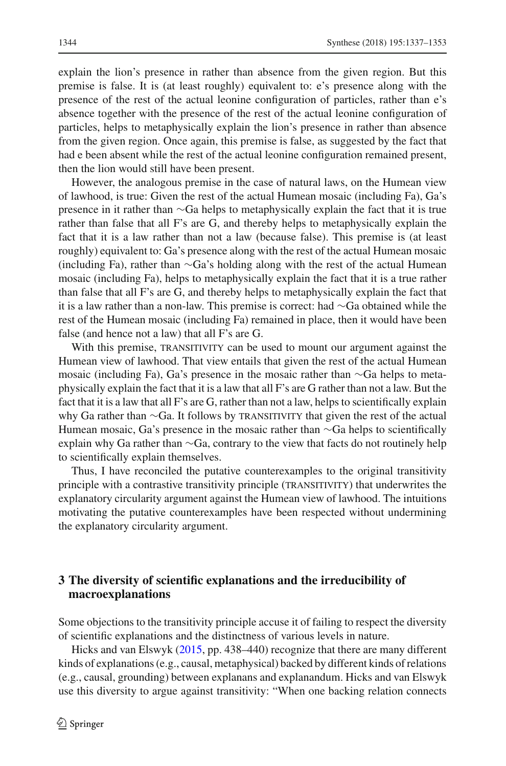explain the lion's presence in rather than absence from the given region. But this premise is false. It is (at least roughly) equivalent to: e's presence along with the presence of the rest of the actual leonine configuration of particles, rather than e's absence together with the presence of the rest of the actual leonine configuration of particles, helps to metaphysically explain the lion's presence in rather than absence from the given region. Once again, this premise is false, as suggested by the fact that had e been absent while the rest of the actual leonine configuration remained present, then the lion would still have been present.

However, the analogous premise in the case of natural laws, on the Humean view of lawhood, is true: Given the rest of the actual Humean mosaic (including Fa), Ga's presence in it rather than ∼Ga helps to metaphysically explain the fact that it is true rather than false that all F's are G, and thereby helps to metaphysically explain the fact that it is a law rather than not a law (because false). This premise is (at least roughly) equivalent to: Ga's presence along with the rest of the actual Humean mosaic (including Fa), rather than ∼Ga's holding along with the rest of the actual Humean mosaic (including Fa), helps to metaphysically explain the fact that it is a true rather than false that all F's are G, and thereby helps to metaphysically explain the fact that it is a law rather than a non-law. This premise is correct: had ∼Ga obtained while the rest of the Humean mosaic (including Fa) remained in place, then it would have been false (and hence not a law) that all F's are G.

With this premise, TRANSITIVITY can be used to mount our argument against the Humean view of lawhood. That view entails that given the rest of the actual Humean mosaic (including Fa), Ga's presence in the mosaic rather than ∼Ga helps to metaphysically explain the fact that it is a law that all F's are G rather than not a law. But the fact that it is a law that all F's are G, rather than not a law, helps to scientifically explain why Ga rather than ∼Ga. It follows by transitivity that given the rest of the actual Humean mosaic, Ga's presence in the mosaic rather than ∼Ga helps to scientifically explain why Ga rather than ∼Ga, contrary to the view that facts do not routinely help to scientifically explain themselves.

Thus, I have reconciled the putative counterexamples to the original transitivity principle with a contrastive transitivity principle (TRANSITIVITY) that underwrites the explanatory circularity argument against the Humean view of lawhood. The intuitions motivating the putative counterexamples have been respected without undermining the explanatory circularity argument.

## <span id="page-7-0"></span>**3 The diversity of scientific explanations and the irreducibility of macroexplanations**

Some objections to the transitivity principle accuse it of failing to respect the diversity of scientific explanations and the distinctness of various levels in nature.

Hicks and van Elswyk [\(2015,](#page-15-1) pp. 438–440) recognize that there are many different kinds of explanations (e.g., causal, metaphysical) backed by different kinds of relations (e.g., causal, grounding) between explanans and explanandum. Hicks and van Elswyk use this diversity to argue against transitivity: "When one backing relation connects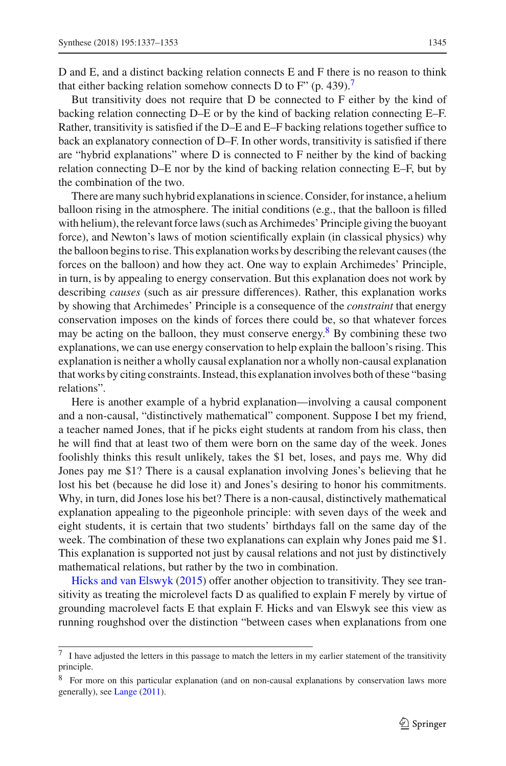D and E, and a distinct backing relation connects E and F there is no reason to think that either backing relation somehow connects D to F"  $(p. 439)$ .<sup>7</sup>

But transitivity does not require that D be connected to F either by the kind of backing relation connecting D–E or by the kind of backing relation connecting E–F. Rather, transitivity is satisfied if the D–E and E–F backing relations together suffice to back an explanatory connection of D–F. In other words, transitivity is satisfied if there are "hybrid explanations" where D is connected to F neither by the kind of backing relation connecting D–E nor by the kind of backing relation connecting E–F, but by the combination of the two.

There are many such hybrid explanations in science. Consider, for instance, a helium balloon rising in the atmosphere. The initial conditions (e.g., that the balloon is filled with helium), the relevant force laws (such as Archimedes' Principle giving the buoyant force), and Newton's laws of motion scientifically explain (in classical physics) why the balloon begins to rise. This explanation works by describing the relevant causes (the forces on the balloon) and how they act. One way to explain Archimedes' Principle, in turn, is by appealing to energy conservation. But this explanation does not work by describing *causes* (such as air pressure differences). Rather, this explanation works by showing that Archimedes' Principle is a consequence of the *constraint* that energy conservation imposes on the kinds of forces there could be, so that whatever forces may be acting on the balloon, they must conserve energy.<sup>8</sup> By combining these two explanations, we can use energy conservation to help explain the balloon's rising. This explanation is neither a wholly causal explanation nor a wholly non-causal explanation that works by citing constraints. Instead, this explanation involves both of these "basing relations".

Here is another example of a hybrid explanation—involving a causal component and a non-causal, "distinctively mathematical" component. Suppose I bet my friend, a teacher named Jones, that if he picks eight students at random from his class, then he will find that at least two of them were born on the same day of the week. Jones foolishly thinks this result unlikely, takes the \$1 bet, loses, and pays me. Why did Jones pay me \$1? There is a causal explanation involving Jones's believing that he lost his bet (because he did lose it) and Jones's desiring to honor his commitments. Why, in turn, did Jones lose his bet? There is a non-causal, distinctively mathematical explanation appealing to the pigeonhole principle: with seven days of the week and eight students, it is certain that two students' birthdays fall on the same day of the week. The combination of these two explanations can explain why Jones paid me \$1. This explanation is supported not just by causal relations and not just by distinctively [mathematical](#page-15-1) [relations,](#page-15-1) [bu](#page-15-1)t rather by the two in combination.

Hicks and van Elswyk [\(2015](#page-15-1)) offer another objection to transitivity. They see transitivity as treating the microlevel facts D as qualified to explain F merely by virtue of grounding macrolevel facts E that explain F. Hicks and van Elswyk see this view as running roughshod over the distinction "between cases when explanations from one

<span id="page-8-0"></span><sup>7</sup> I have adjusted the letters in this passage to match the letters in my earlier statement of the transitivity principle.

<span id="page-8-1"></span><sup>&</sup>lt;sup>8</sup> For more on this particular explanation (and on non-causal explanations by conservation laws more generally), see [Lange](#page-15-7) [\(2011\)](#page-15-7).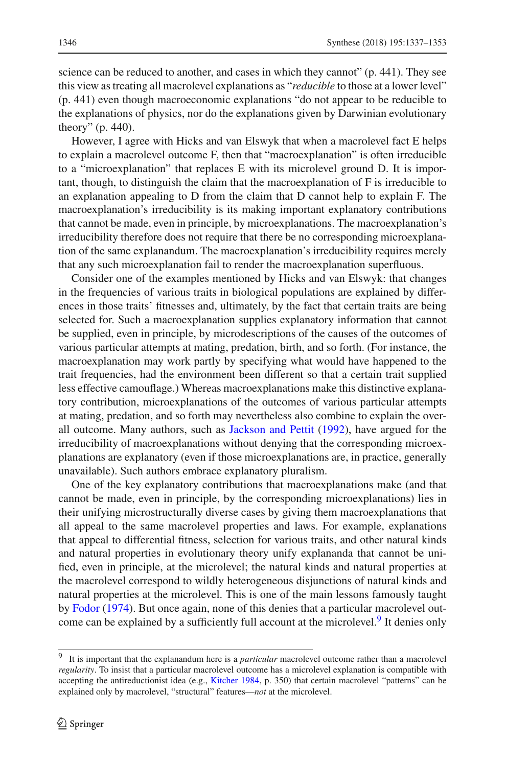science can be reduced to another, and cases in which they cannot" (p. 441). They see this view as treating all macrolevel explanations as "*reducible* to those at a lower level" (p. 441) even though macroeconomic explanations "do not appear to be reducible to the explanations of physics, nor do the explanations given by Darwinian evolutionary theory" (p. 440).

However, I agree with Hicks and van Elswyk that when a macrolevel fact E helps to explain a macrolevel outcome F, then that "macroexplanation" is often irreducible to a "microexplanation" that replaces E with its microlevel ground D. It is important, though, to distinguish the claim that the macroexplanation of F is irreducible to an explanation appealing to D from the claim that D cannot help to explain F. The macroexplanation's irreducibility is its making important explanatory contributions that cannot be made, even in principle, by microexplanations. The macroexplanation's irreducibility therefore does not require that there be no corresponding microexplanation of the same explanandum. The macroexplanation's irreducibility requires merely that any such microexplanation fail to render the macroexplanation superfluous.

Consider one of the examples mentioned by Hicks and van Elswyk: that changes in the frequencies of various traits in biological populations are explained by differences in those traits' fitnesses and, ultimately, by the fact that certain traits are being selected for. Such a macroexplanation supplies explanatory information that cannot be supplied, even in principle, by microdescriptions of the causes of the outcomes of various particular attempts at mating, predation, birth, and so forth. (For instance, the macroexplanation may work partly by specifying what would have happened to the trait frequencies, had the environment been different so that a certain trait supplied less effective camouflage.) Whereas macroexplanations make this distinctive explanatory contribution, microexplanations of the outcomes of various particular attempts at mating, predation, and so forth may nevertheless also combine to explain the overall outcome. Many authors, such as [Jackson and Pettit](#page-15-8) [\(1992\)](#page-15-8), have argued for the irreducibility of macroexplanations without denying that the corresponding microexplanations are explanatory (even if those microexplanations are, in practice, generally unavailable). Such authors embrace explanatory pluralism.

One of the key explanatory contributions that macroexplanations make (and that cannot be made, even in principle, by the corresponding microexplanations) lies in their unifying microstructurally diverse cases by giving them macroexplanations that all appeal to the same macrolevel properties and laws. For example, explanations that appeal to differential fitness, selection for various traits, and other natural kinds and natural properties in evolutionary theory unify explananda that cannot be unified, even in principle, at the microlevel; the natural kinds and natural properties at the macrolevel correspond to wildly heterogeneous disjunctions of natural kinds and natural properties at the microlevel. This is one of the main lessons famously taught by [Fodor](#page-15-9) [\(1974](#page-15-9)). But once again, none of this denies that a particular macrolevel outcome can be explained by a sufficiently full account at the microlevel.<sup>9</sup> It denies only

<span id="page-9-0"></span><sup>9</sup> It is important that the explanandum here is a *particular* macrolevel outcome rather than a macrolevel *regularity*. To insist that a particular macrolevel outcome has a microlevel explanation is compatible with accepting the antireductionist idea (e.g., [Kitcher 1984](#page-15-10), p. 350) that certain macrolevel "patterns" can be explained only by macrolevel, "structural" features—*not* at the microlevel.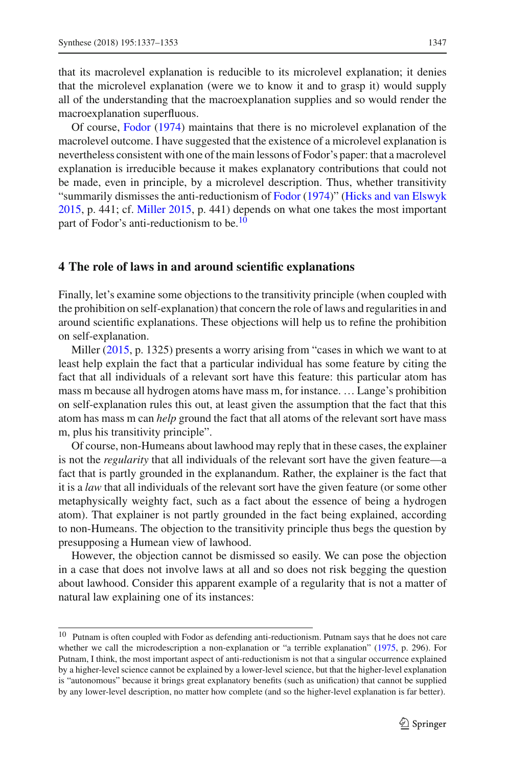that its macrolevel explanation is reducible to its microlevel explanation; it denies that the microlevel explanation (were we to know it and to grasp it) would supply all of the understanding that the macroexplanation supplies and so would render the macroexplanation superfluous.

Of course, [Fodor](#page-15-9) [\(1974](#page-15-9)) maintains that there is no microlevel explanation of the macrolevel outcome. I have suggested that the existence of a microlevel explanation is nevertheless consistent with one of the main lessons of Fodor's paper: that a macrolevel explanation is irreducible because it makes explanatory contributions that could not be made, even in principle, by a microlevel description. Thus, whether transitivity "summarily dismisses the anti-reductionism of [Fodor](#page-15-9) [\(1974\)](#page-15-9)" [\(Hicks and van Elswyk](#page-15-1) [2015,](#page-15-1) p. 441; cf. [Miller 2015,](#page-16-2) p. 441) depends on what one takes the most important part of Fodor's anti-reductionism to be.<sup>10</sup>

### <span id="page-10-0"></span>**4 The role of laws in and around scientific explanations**

Finally, let's examine some objections to the transitivity principle (when coupled with the prohibition on self-explanation) that concern the role of laws and regularities in and around scientific explanations. These objections will help us to refine the prohibition on self-explanation.

Miller [\(2015](#page-16-2), p. 1325) presents a worry arising from "cases in which we want to at least help explain the fact that a particular individual has some feature by citing the fact that all individuals of a relevant sort have this feature: this particular atom has mass m because all hydrogen atoms have mass m, for instance. … Lange's prohibition on self-explanation rules this out, at least given the assumption that the fact that this atom has mass m can *help* ground the fact that all atoms of the relevant sort have mass m, plus his transitivity principle".

Of course, non-Humeans about lawhood may reply that in these cases, the explainer is not the *regularity* that all individuals of the relevant sort have the given feature—a fact that is partly grounded in the explanandum. Rather, the explainer is the fact that it is a *law* that all individuals of the relevant sort have the given feature (or some other metaphysically weighty fact, such as a fact about the essence of being a hydrogen atom). That explainer is not partly grounded in the fact being explained, according to non-Humeans. The objection to the transitivity principle thus begs the question by presupposing a Humean view of lawhood.

However, the objection cannot be dismissed so easily. We can pose the objection in a case that does not involve laws at all and so does not risk begging the question about lawhood. Consider this apparent example of a regularity that is not a matter of natural law explaining one of its instances:

<span id="page-10-1"></span><sup>&</sup>lt;sup>10</sup> Putnam is often coupled with Fodor as defending anti-reductionism. Putnam says that he does not care whether we call the microdescription a non-explanation or "a terrible explanation" [\(1975,](#page-16-8) p. 296). For Putnam, I think, the most important aspect of anti-reductionism is not that a singular occurrence explained by a higher-level science cannot be explained by a lower-level science, but that the higher-level explanation is "autonomous" because it brings great explanatory benefits (such as unification) that cannot be supplied by any lower-level description, no matter how complete (and so the higher-level explanation is far better).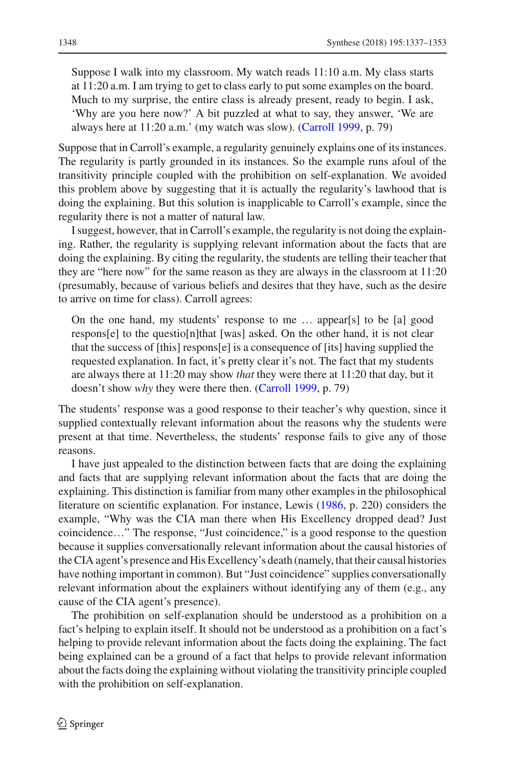Suppose I walk into my classroom. My watch reads 11:10 a.m. My class starts at 11:20 a.m. I am trying to get to class early to put some examples on the board. Much to my surprise, the entire class is already present, ready to begin. I ask, 'Why are you here now?' A bit puzzled at what to say, they answer, 'We are always here at 11:20 a.m.' (my watch was slow). [\(Carroll 1999,](#page-15-11) p. 79)

Suppose that in Carroll's example, a regularity genuinely explains one of its instances. The regularity is partly grounded in its instances. So the example runs afoul of the transitivity principle coupled with the prohibition on self-explanation. We avoided this problem above by suggesting that it is actually the regularity's lawhood that is doing the explaining. But this solution is inapplicable to Carroll's example, since the regularity there is not a matter of natural law.

I suggest, however, that in Carroll's example, the regularity is not doing the explaining. Rather, the regularity is supplying relevant information about the facts that are doing the explaining. By citing the regularity, the students are telling their teacher that they are "here now" for the same reason as they are always in the classroom at 11:20 (presumably, because of various beliefs and desires that they have, such as the desire to arrive on time for class). Carroll agrees:

On the one hand, my students' response to me … appear[s] to be [a] good respons[e] to the questio[n]that [was] asked. On the other hand, it is not clear that the success of [this] respons[e] is a consequence of [its] having supplied the requested explanation. In fact, it's pretty clear it's not. The fact that my students are always there at 11:20 may show *that* they were there at 11:20 that day, but it doesn't show *why* they were there then. [\(Carroll 1999](#page-15-11), p. 79)

The students' response was a good response to their teacher's why question, since it supplied contextually relevant information about the reasons why the students were present at that time. Nevertheless, the students' response fails to give any of those reasons.

I have just appealed to the distinction between facts that are doing the explaining and facts that are supplying relevant information about the facts that are doing the explaining. This distinction is familiar from many other examples in the philosophical literature on scientific explanation. For instance, Lewis [\(1986](#page-15-2), p. 220) considers the example, "Why was the CIA man there when His Excellency dropped dead? Just coincidence…" The response, "Just coincidence," is a good response to the question because it supplies conversationally relevant information about the causal histories of the CIA agent's presence and His Excellency's death (namely, that their causal histories have nothing important in common). But "Just coincidence" supplies conversationally relevant information about the explainers without identifying any of them (e.g., any cause of the CIA agent's presence).

The prohibition on self-explanation should be understood as a prohibition on a fact's helping to explain itself. It should not be understood as a prohibition on a fact's helping to provide relevant information about the facts doing the explaining. The fact being explained can be a ground of a fact that helps to provide relevant information about the facts doing the explaining without violating the transitivity principle coupled with the prohibition on self-explanation.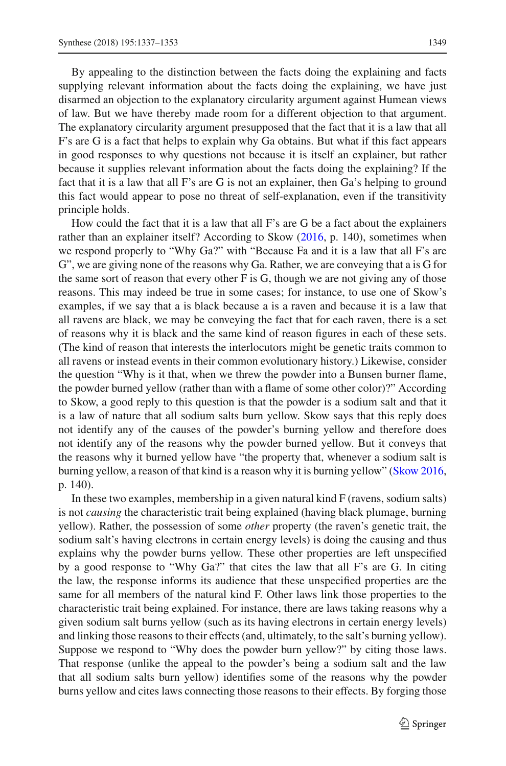By appealing to the distinction between the facts doing the explaining and facts supplying relevant information about the facts doing the explaining, we have just disarmed an objection to the explanatory circularity argument against Humean views of law. But we have thereby made room for a different objection to that argument. The explanatory circularity argument presupposed that the fact that it is a law that all F's are G is a fact that helps to explain why Ga obtains. But what if this fact appears in good responses to why questions not because it is itself an explainer, but rather because it supplies relevant information about the facts doing the explaining? If the fact that it is a law that all F's are G is not an explainer, then Ga's helping to ground this fact would appear to pose no threat of self-explanation, even if the transitivity principle holds.

How could the fact that it is a law that all F's are G be a fact about the explainers rather than an explainer itself? According to Skow [\(2016](#page-16-9), p. 140), sometimes when we respond properly to "Why Ga?" with "Because Fa and it is a law that all F's are G", we are giving none of the reasons why Ga. Rather, we are conveying that a is G for the same sort of reason that every other F is G, though we are not giving any of those reasons. This may indeed be true in some cases; for instance, to use one of Skow's examples, if we say that a is black because a is a raven and because it is a law that all ravens are black, we may be conveying the fact that for each raven, there is a set of reasons why it is black and the same kind of reason figures in each of these sets. (The kind of reason that interests the interlocutors might be genetic traits common to all ravens or instead events in their common evolutionary history.) Likewise, consider the question "Why is it that, when we threw the powder into a Bunsen burner flame, the powder burned yellow (rather than with a flame of some other color)?" According to Skow, a good reply to this question is that the powder is a sodium salt and that it is a law of nature that all sodium salts burn yellow. Skow says that this reply does not identify any of the causes of the powder's burning yellow and therefore does not identify any of the reasons why the powder burned yellow. But it conveys that the reasons why it burned yellow have "the property that, whenever a sodium salt is burning yellow, a reason of that kind is a reason why it is burning yellow" [\(Skow 2016,](#page-16-9) p. 140).

In these two examples, membership in a given natural kind F (ravens, sodium salts) is not *causing* the characteristic trait being explained (having black plumage, burning yellow). Rather, the possession of some *other* property (the raven's genetic trait, the sodium salt's having electrons in certain energy levels) is doing the causing and thus explains why the powder burns yellow. These other properties are left unspecified by a good response to "Why Ga?" that cites the law that all F's are G. In citing the law, the response informs its audience that these unspecified properties are the same for all members of the natural kind F. Other laws link those properties to the characteristic trait being explained. For instance, there are laws taking reasons why a given sodium salt burns yellow (such as its having electrons in certain energy levels) and linking those reasons to their effects (and, ultimately, to the salt's burning yellow). Suppose we respond to "Why does the powder burn yellow?" by citing those laws. That response (unlike the appeal to the powder's being a sodium salt and the law that all sodium salts burn yellow) identifies some of the reasons why the powder burns yellow and cites laws connecting those reasons to their effects. By forging those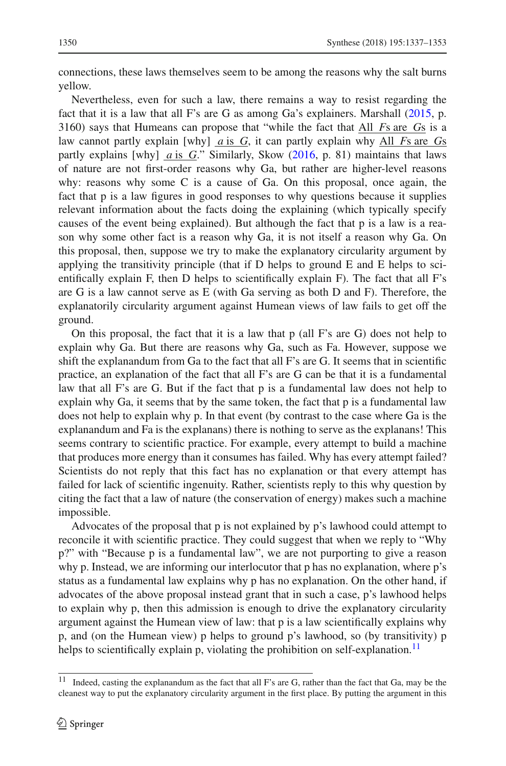connections, these laws themselves seem to be among the reasons why the salt burns yellow.

Nevertheless, even for such a law, there remains a way to resist regarding the fact that it is a law that all F's are G as among Ga's explainers. Marshall [\(2015,](#page-16-1) p. 3160) says that Humeans can propose that "while the fact that All *F*s are *G*s is a law cannot partly explain [why] *a* is *G*, it can partly explain why All *F*s are *G*s partly explains [why] *a* is *G*." Similarly, Skow [\(2016,](#page-16-9) p. 81) maintains that laws of nature are not first-order reasons why Ga, but rather are higher-level reasons why: reasons why some C is a cause of Ga. On this proposal, once again, the fact that p is a law figures in good responses to why questions because it supplies relevant information about the facts doing the explaining (which typically specify causes of the event being explained). But although the fact that p is a law is a reason why some other fact is a reason why Ga, it is not itself a reason why Ga. On this proposal, then, suppose we try to make the explanatory circularity argument by applying the transitivity principle (that if D helps to ground E and E helps to scientifically explain F, then D helps to scientifically explain F). The fact that all F's are G is a law cannot serve as E (with Ga serving as both D and F). Therefore, the explanatorily circularity argument against Humean views of law fails to get off the ground.

On this proposal, the fact that it is a law that  $p$  (all F's are G) does not help to explain why Ga. But there are reasons why Ga, such as Fa. However, suppose we shift the explanandum from Ga to the fact that all F's are G. It seems that in scientific practice, an explanation of the fact that all F's are G can be that it is a fundamental law that all F's are G. But if the fact that p is a fundamental law does not help to explain why Ga, it seems that by the same token, the fact that p is a fundamental law does not help to explain why p. In that event (by contrast to the case where Ga is the explanandum and Fa is the explanans) there is nothing to serve as the explanans! This seems contrary to scientific practice. For example, every attempt to build a machine that produces more energy than it consumes has failed. Why has every attempt failed? Scientists do not reply that this fact has no explanation or that every attempt has failed for lack of scientific ingenuity. Rather, scientists reply to this why question by citing the fact that a law of nature (the conservation of energy) makes such a machine impossible.

Advocates of the proposal that p is not explained by p's lawhood could attempt to reconcile it with scientific practice. They could suggest that when we reply to "Why p?" with "Because p is a fundamental law", we are not purporting to give a reason why p. Instead, we are informing our interlocutor that p has no explanation, where p's status as a fundamental law explains why p has no explanation. On the other hand, if advocates of the above proposal instead grant that in such a case, p's lawhood helps to explain why p, then this admission is enough to drive the explanatory circularity argument against the Humean view of law: that p is a law scientifically explains why p, and (on the Humean view) p helps to ground p's lawhood, so (by transitivity) p helps to scientifically explain p, violating the prohibition on self-explanation.<sup>11</sup>

<span id="page-13-0"></span><sup>&</sup>lt;sup>11</sup> Indeed, casting the explanandum as the fact that all F's are G, rather than the fact that Ga, may be the cleanest way to put the explanatory circularity argument in the first place. By putting the argument in this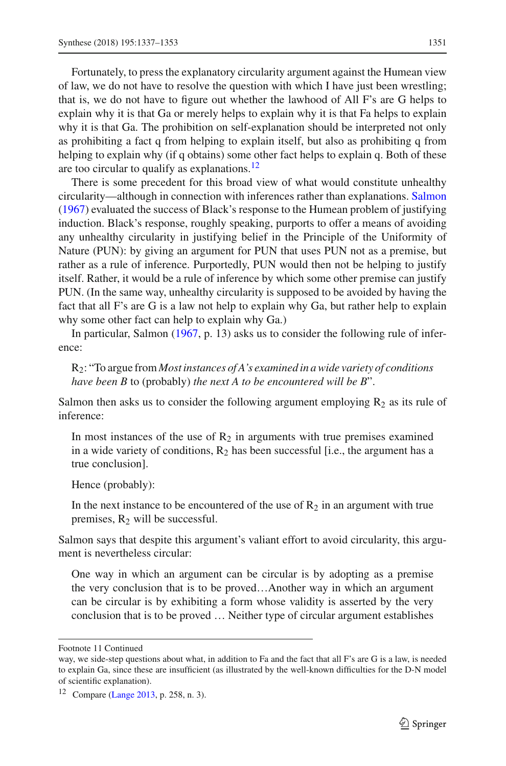Fortunately, to press the explanatory circularity argument against the Humean view of law, we do not have to resolve the question with which I have just been wrestling; that is, we do not have to figure out whether the lawhood of All F's are G helps to explain why it is that Ga or merely helps to explain why it is that Fa helps to explain why it is that Ga. The prohibition on self-explanation should be interpreted not only as prohibiting a fact q from helping to explain itself, but also as prohibiting q from helping to explain why (if q obtains) some other fact helps to explain q. Both of these are too circular to qualify as explanations[.12](#page-14-0)

There is some precedent for this broad view of what would constitute unhealthy circularity—although in connection with inferences rather than explanations. [Salmon](#page-16-10) [\(1967\)](#page-16-10) evaluated the success of Black's response to the Humean problem of justifying induction. Black's response, roughly speaking, purports to offer a means of avoiding any unhealthy circularity in justifying belief in the Principle of the Uniformity of Nature (PUN): by giving an argument for PUN that uses PUN not as a premise, but rather as a rule of inference. Purportedly, PUN would then not be helping to justify itself. Rather, it would be a rule of inference by which some other premise can justify PUN. (In the same way, unhealthy circularity is supposed to be avoided by having the fact that all F's are G is a law not help to explain why Ga, but rather help to explain why some other fact can help to explain why Ga.)

In particular, Salmon [\(1967](#page-16-10), p. 13) asks us to consider the following rule of inference:

R2: "To argue from *Most instances of A's examined in a wide variety of conditions have been B* to (probably) *the next A to be encountered will be B*".

Salmon then asks us to consider the following argument employing  $R_2$  as its rule of inference:

In most instances of the use of  $R_2$  in arguments with true premises examined in a wide variety of conditions,  $R_2$  has been successful [i.e., the argument has a true conclusion].

Hence (probably):

In the next instance to be encountered of the use of  $R_2$  in an argument with true premises,  $R_2$  will be successful.

Salmon says that despite this argument's valiant effort to avoid circularity, this argument is nevertheless circular:

One way in which an argument can be circular is by adopting as a premise the very conclusion that is to be proved…Another way in which an argument can be circular is by exhibiting a form whose validity is asserted by the very conclusion that is to be proved … Neither type of circular argument establishes

Footnote 11 Continued

way, we side-step questions about what, in addition to Fa and the fact that all F's are G is a law, is needed to explain Ga, since these are insufficient (as illustrated by the well-known difficulties for the D-N model of scientific explanation).

<span id="page-14-0"></span><sup>12</sup> Compare [\(Lange 2013,](#page-15-0) p. 258, n. 3).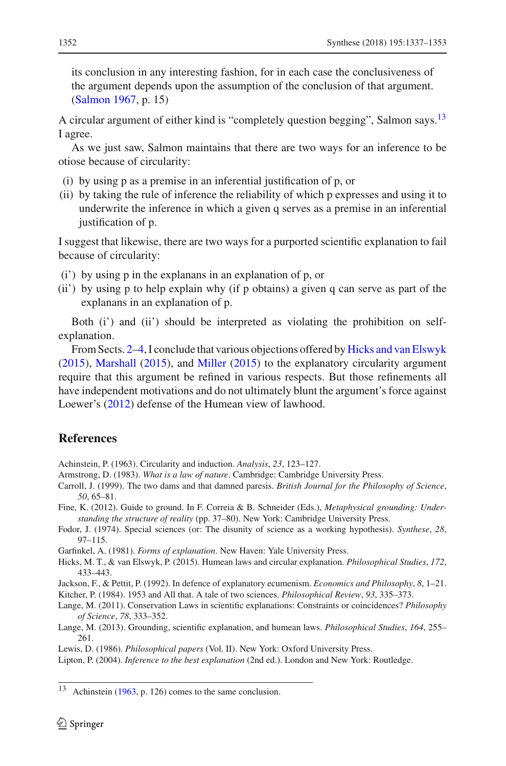its conclusion in any interesting fashion, for in each case the conclusiveness of the argument depends upon the assumption of the conclusion of that argument. [\(Salmon 1967](#page-16-10), p. 15)

A circular argument of either kind is "completely question begging", Salmon says.<sup>13</sup> I agree.

As we just saw, Salmon maintains that there are two ways for an inference to be otiose because of circularity:

- (i) by using p as a premise in an inferential justification of p, or
- (ii) by taking the rule of inference the reliability of which p expresses and using it to underwrite the inference in which a given q serves as a premise in an inferential justification of p.

I suggest that likewise, there are two ways for a purported scientific explanation to fail because of circularity:

- (i') by using p in the explanans in an explanation of p, or
- (ii') by using p to help explain why (if p obtains) a given q can serve as part of the explanans in an explanation of p.

Both (i') and (ii') should be interpreted as violating the prohibition on selfexplanation.

From Sects. [2](#page-3-0)[–4,](#page-10-0) I conclude that various objections offered by [Hicks and van Elswyk](#page-15-1) [\(2015\)](#page-15-1), [Marshall](#page-16-1) [\(2015\)](#page-16-1), and [Miller](#page-16-2) [\(2015](#page-16-2)) to the explanatory circularity argument require that this argument be refined in various respects. But those refinements all have independent motivations and do not ultimately blunt the argument's force against Loewer's [\(2012](#page-16-0)) defense of the Humean view of lawhood.

## **References**

<span id="page-15-13"></span>Achinstein, P. (1963). Circularity and induction. *Analysis*, *23*, 123–127.

Armstrong, D. (1983). *What is a law of nature*. Cambridge: Cambridge University Press.

- <span id="page-15-11"></span><span id="page-15-3"></span>Carroll, J. (1999). The two dams and that damned paresis. *British Journal for the Philosophy of Science*, *50*, 65–81.
- <span id="page-15-4"></span>Fine, K. (2012). Guide to ground. In F. Correia & B. Schneider (Eds.), *Metaphysical grounding: Understanding the structure of reality* (pp. 37–80). New York: Cambridge University Press.
- <span id="page-15-9"></span>Fodor, J. (1974). Special sciences (or: The disunity of science as a working hypothesis). *Synthese*, *28*, 97–115.
- <span id="page-15-6"></span>Garfinkel, A. (1981). *Forms of explanation*. New Haven: Yale University Press.
- <span id="page-15-1"></span>Hicks, M. T., & van Elswyk, P. (2015). Humean laws and circular explanation. *Philosophical Studies*, *172*, 433–443.
- <span id="page-15-8"></span>Jackson, F., & Pettit, P. (1992). In defence of explanatory ecumenism. *Economics and Philosophy*, *8*, 1–21.

<span id="page-15-10"></span>Kitcher, P. (1984). 1953 and All that. A tale of two sciences. *Philosophical Review*, *93*, 335–373.

<span id="page-15-7"></span>Lange, M. (2011). Conservation Laws in scientific explanations: Constraints or coincidences? *Philosophy of Science*, *78*, 333–352.

<span id="page-15-0"></span>Lange, M. (2013). Grounding, scientific explanation, and humean laws. *Philosophical Studies*, *164*, 255– 261.

Lewis, D. (1986). *Philosophical papers* (Vol. II). New York: Oxford University Press.

<span id="page-15-5"></span><span id="page-15-2"></span>Lipton, P. (2004). *Inference to the best explanation* (2nd ed.). London and New York: Routledge.

<span id="page-15-12"></span>Achinstein  $(1963, p. 126)$  $(1963, p. 126)$  comes to the same conclusion.